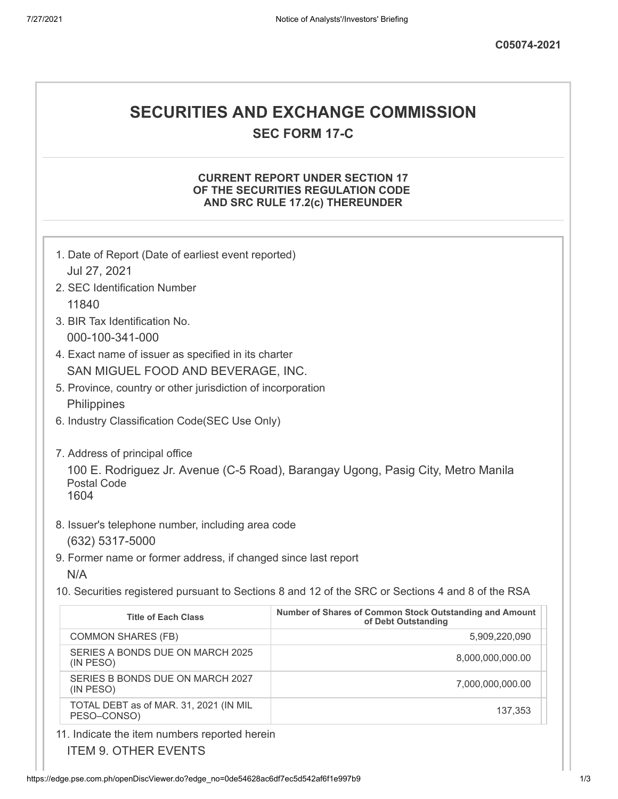### **SECURITIES AND EXCHANGE COMMISSION**

**SEC FORM 17-C**

#### **CURRENT REPORT UNDER SECTION 17 OF THE SECURITIES REGULATION CODE AND SRC RULE 17.2(c) THEREUNDER**

| 1. Date of Report (Date of earliest event reported)                                                    |                                                                                                   |
|--------------------------------------------------------------------------------------------------------|---------------------------------------------------------------------------------------------------|
| Jul 27, 2021                                                                                           |                                                                                                   |
| 2. SEC Identification Number                                                                           |                                                                                                   |
| 11840                                                                                                  |                                                                                                   |
| 3. BIR Tax Identification No.                                                                          |                                                                                                   |
| 000-100-341-000                                                                                        |                                                                                                   |
| 4. Exact name of issuer as specified in its charter                                                    |                                                                                                   |
| SAN MIGUEL FOOD AND BEVERAGE, INC.                                                                     |                                                                                                   |
| 5. Province, country or other jurisdiction of incorporation                                            |                                                                                                   |
| Philippines                                                                                            |                                                                                                   |
| 6. Industry Classification Code(SEC Use Only)                                                          |                                                                                                   |
| 7. Address of principal office                                                                         |                                                                                                   |
|                                                                                                        |                                                                                                   |
| 100 E. Rodriguez Jr. Avenue (C-5 Road), Barangay Ugong, Pasig City, Metro Manila<br><b>Postal Code</b> |                                                                                                   |
| 1604                                                                                                   |                                                                                                   |
|                                                                                                        |                                                                                                   |
| 8. Issuer's telephone number, including area code                                                      |                                                                                                   |
| (632) 5317-5000                                                                                        |                                                                                                   |
| 9. Former name or former address, if changed since last report                                         |                                                                                                   |
| N/A                                                                                                    |                                                                                                   |
|                                                                                                        | 10. Securities registered pursuant to Sections 8 and 12 of the SRC or Sections 4 and 8 of the RSA |
| <b>Title of Each Class</b>                                                                             | Number of Shares of Common Stock Outstanding and Amount<br>of Debt Outstanding                    |
| <b>COMMON SHARES (FB)</b>                                                                              | 5,909,220,090                                                                                     |
| SERIES A BONDS DUE ON MARCH 2025<br>(IN PESO)                                                          | 8,000,000,000.00                                                                                  |
| SERIES B BONDS DUE ON MARCH 2027<br>(IN PESO)                                                          | 7,000,000,000.00                                                                                  |
| TOTAL DEBT as of MAR. 31, 2021 (IN MIL<br>PESO-CONSO)                                                  | 137,353                                                                                           |
| 11. Indicate the item numbers reported herein                                                          |                                                                                                   |

ITEM 9. OTHER EVENTS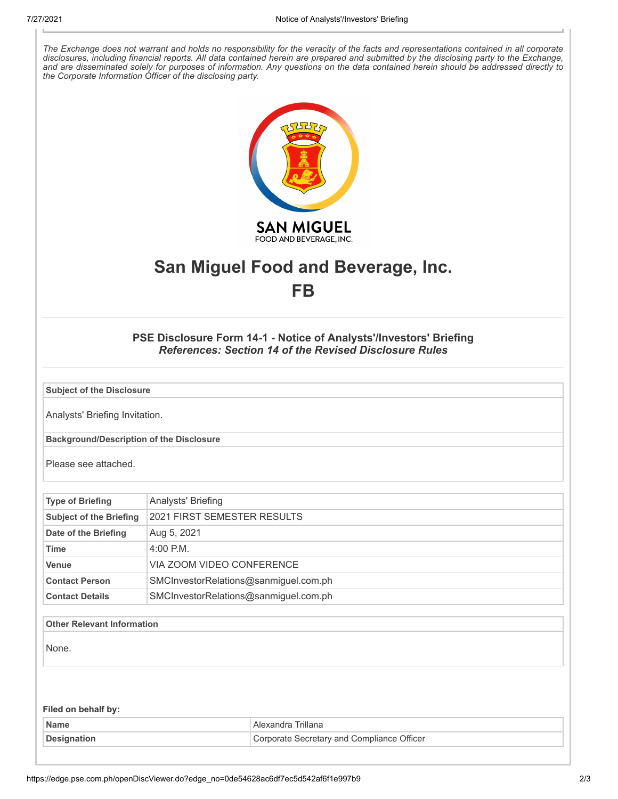